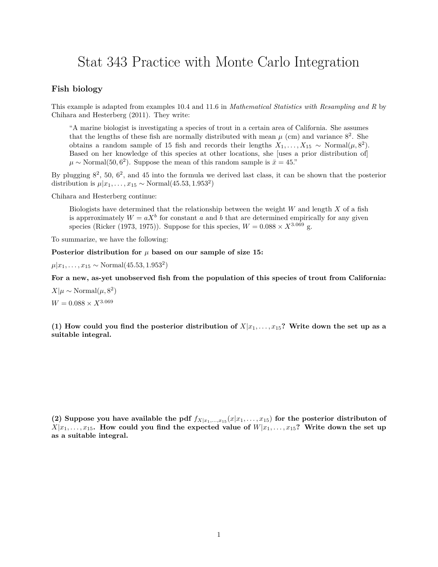## Stat 343 Practice with Monte Carlo Integration

## **Fish biology**

This example is adapted from examples 10.4 and 11.6 in *Mathematical Statistics with Resampling and R* by Chihara and Hesterberg (2011). They write:

"A marine biologist is investigating a species of trout in a certain area of California. She assumes that the lengths of these fish are normally distributed with mean  $\mu$  (cm) and variance  $8^2$ . She obtains a random sample of 15 fish and records their lengths  $X_1, \ldots, X_{15} \sim \text{Normal}(\mu, 8^2)$ . Based on her knowledge of this species at other locations, she [uses a prior distribution of]  $\mu \sim \text{Normal}(50, 6^2)$ . Suppose the mean of this random sample is  $\bar{x} = 45$ ."

By plugging  $8^2$ , 50,  $6^2$ , and 45 into the formula we derived last class, it can be shown that the posterior distribution is  $\mu | x_1, \ldots, x_{15} \sim \text{Normal}(45.53, 1.953^2)$ 

Chihara and Hesterberg continue:

Biologists have determined that the relationship between the weight *W* and length *X* of a fish is apprroximately  $W = aX^b$  for constant *a* and *b* that are determined empirically for any given species (Ricker (1973, 1975)). Suppose for this species,  $W = 0.088 \times X^{3.069}$  g.

To summarize, we have the following:

Posterior distribution for  $\mu$  based on our sample of size 15:

 $\mu | x_1, \ldots, x_{15} \sim \text{Normal}(45.53, 1.953^2)$ 

**For a new, as-yet unobserved fish from the population of this species of trout from California:**

 $X|\mu \sim \text{Normal}(\mu, 8^2)$  $W = 0.088 \times X^{3.069}$ 

(1) How could you find the posterior distribution of  $X|x_1, \ldots, x_{15}$ ? Write down the set up as a **suitable integral.**

(2) Suppose you have available the pdf  $f_{X|x_1,\ldots,x_{15}}(x|x_1,\ldots,x_{15})$  for the posterior distributon of  $X|x_1, \ldots, x_{15}$ . How could you find the expected value of  $W|x_1, \ldots, x_{15}$ ? Write down the set up **as a suitable integral.**